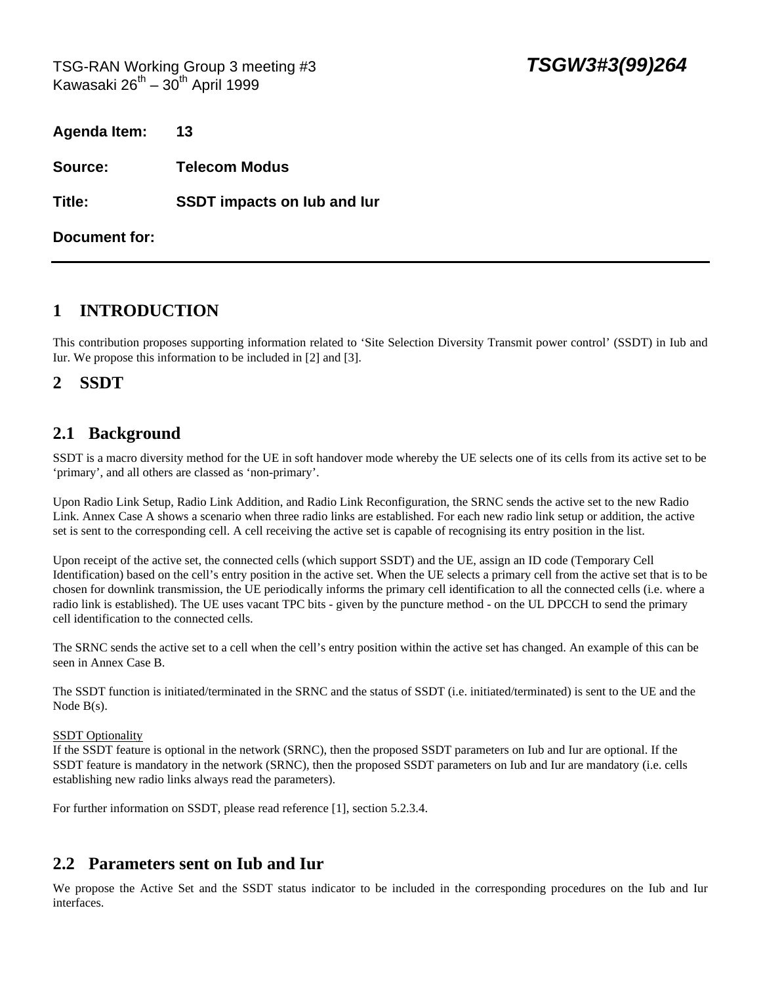TSG-RAN Working Group 3 meeting #3 *TSGW3#3(99)264* Kawasaki  $26^{th} - 30^{th}$  April 1999

| <b>Agenda Item:</b> | 13                                 |
|---------------------|------------------------------------|
| Source:             | <b>Telecom Modus</b>               |
| Title:              | <b>SSDT impacts on lub and lur</b> |
| Document for:       |                                    |

# **1 INTRODUCTION**

This contribution proposes supporting information related to 'Site Selection Diversity Transmit power control' (SSDT) in Iub and Iur. We propose this information to be included in [2] and [3].

### **2 SSDT**

### **2.1 Background**

SSDT is a macro diversity method for the UE in soft handover mode whereby the UE selects one of its cells from its active set to be 'primary', and all others are classed as 'non-primary'.

Upon Radio Link Setup, Radio Link Addition, and Radio Link Reconfiguration, the SRNC sends the active set to the new Radio Link. Annex Case A shows a scenario when three radio links are established. For each new radio link setup or addition, the active set is sent to the corresponding cell. A cell receiving the active set is capable of recognising its entry position in the list.

Upon receipt of the active set, the connected cells (which support SSDT) and the UE, assign an ID code (Temporary Cell Identification) based on the cell's entry position in the active set. When the UE selects a primary cell from the active set that is to be chosen for downlink transmission, the UE periodically informs the primary cell identification to all the connected cells (i.e. where a radio link is established). The UE uses vacant TPC bits - given by the puncture method - on the UL DPCCH to send the primary cell identification to the connected cells.

The SRNC sends the active set to a cell when the cell's entry position within the active set has changed. An example of this can be seen in Annex Case B.

The SSDT function is initiated/terminated in the SRNC and the status of SSDT (i.e. initiated/terminated) is sent to the UE and the Node B(s).

#### **SSDT** Optionality

If the SSDT feature is optional in the network (SRNC), then the proposed SSDT parameters on Iub and Iur are optional. If the SSDT feature is mandatory in the network (SRNC), then the proposed SSDT parameters on Iub and Iur are mandatory (i.e. cells establishing new radio links always read the parameters).

For further information on SSDT, please read reference [1], section 5.2.3.4.

## **2.2 Parameters sent on Iub and Iur**

We propose the Active Set and the SSDT status indicator to be included in the corresponding procedures on the Iub and Iur interfaces.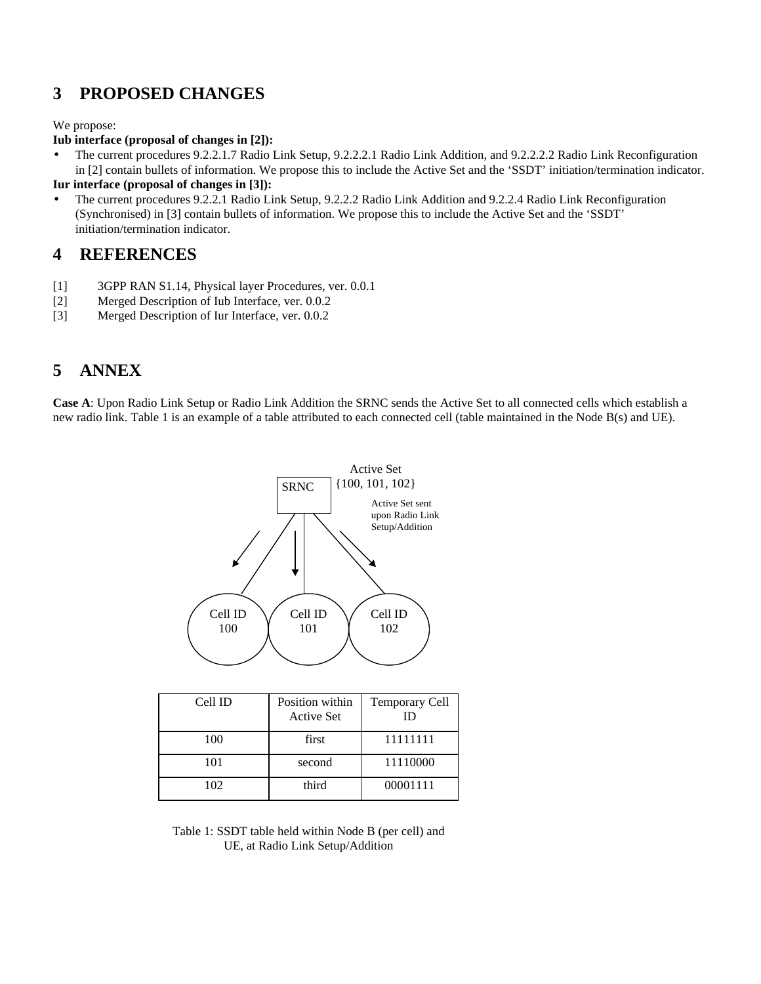# **3 PROPOSED CHANGES**

We propose:

#### **Iub interface (proposal of changes in [2]):**

• The current procedures 9.2.2.1.7 Radio Link Setup, 9.2.2.2.1 Radio Link Addition, and 9.2.2.2.2 Radio Link Reconfiguration in [2] contain bullets of information. We propose this to include the Active Set and the 'SSDT' initiation/termination indicator.

#### **Iur interface (proposal of changes in [3]):**

• The current procedures 9.2.2.1 Radio Link Setup, 9.2.2.2 Radio Link Addition and 9.2.2.4 Radio Link Reconfiguration (Synchronised) in [3] contain bullets of information. We propose this to include the Active Set and the 'SSDT' initiation/termination indicator.

### **4 REFERENCES**

- [1] 3GPP RAN S1.14, Physical layer Procedures, ver. 0.0.1
- [2] Merged Description of Iub Interface, ver. 0.0.2
- [3] Merged Description of Iur Interface, ver. 0.0.2

# **5 ANNEX**

**Case A**: Upon Radio Link Setup or Radio Link Addition the SRNC sends the Active Set to all connected cells which establish a new radio link. Table 1 is an example of a table attributed to each connected cell (table maintained in the Node B(s) and UE).



| Cell ID | Position within<br><b>Active Set</b> | <b>Temporary Cell</b><br>ID |
|---------|--------------------------------------|-----------------------------|
|         |                                      |                             |
| 100     | first                                | 11111111                    |
| 101     | second                               | 11110000                    |
| 102     | third                                | 00001111                    |

Table 1: SSDT table held within Node B (per cell) and UE, at Radio Link Setup/Addition